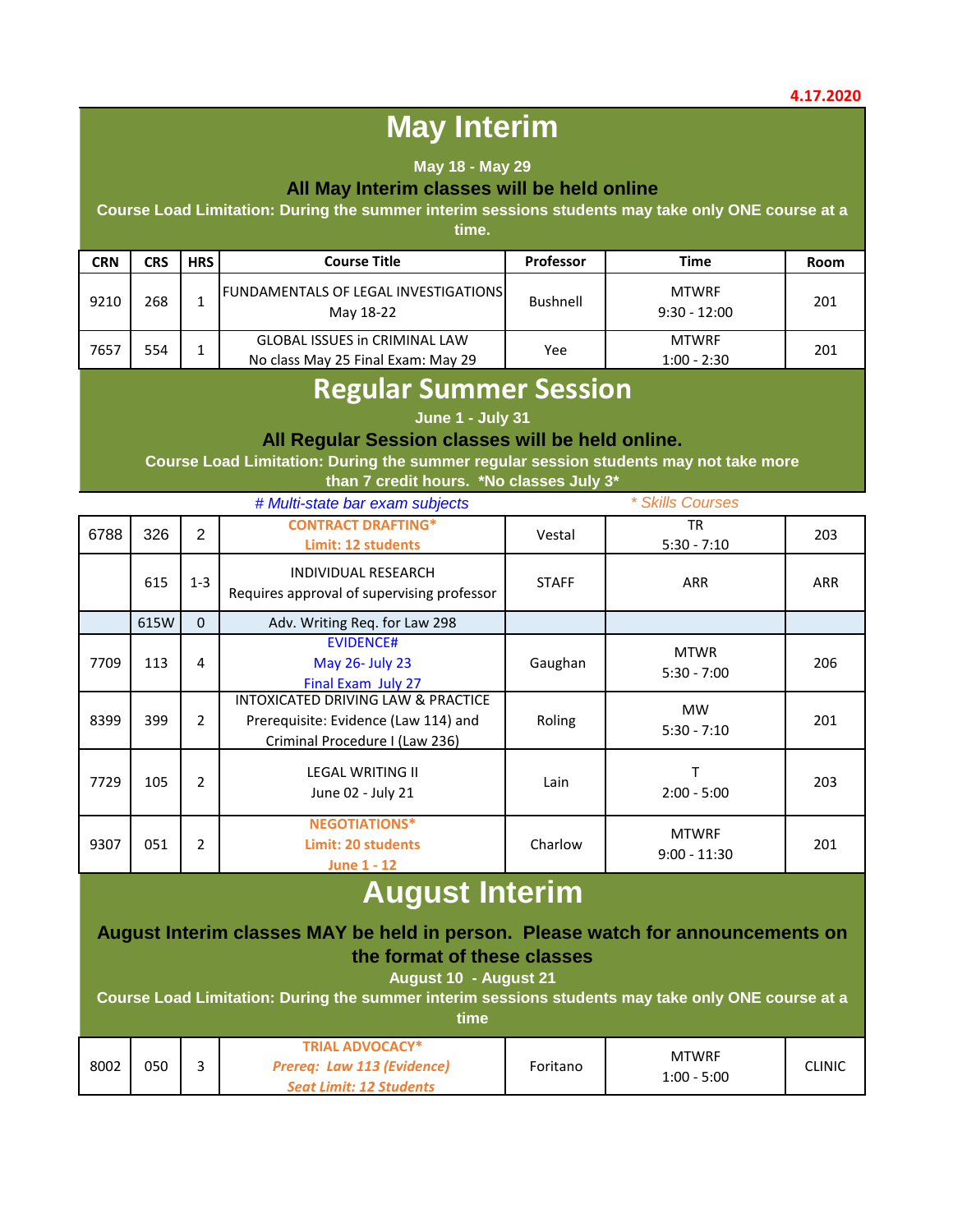# **May Interim**

#### **May 18 - May 29**

#### **All May Interim classes will be held online**

**Course Load Limitation: During the summer interim sessions students may take only ONE course at a** 

**time.** 

| <b>CRN</b> | CRS | <b>HRS</b> | <b>Course Title</b>                                                        | <b>Professor</b> | <b>Time</b>                    | Room |
|------------|-----|------------|----------------------------------------------------------------------------|------------------|--------------------------------|------|
| 9210       | 268 |            | <b>FUNDAMENTALS OF LEGAL INVESTIGATIONS</b><br>May 18-22                   | Bushnell         | <b>MTWRF</b><br>$9:30 - 12:00$ | 201  |
| 7657       | 554 |            | <b>GLOBAL ISSUES in CRIMINAL LAW</b><br>No class May 25 Final Exam: May 29 | Yee              | <b>MTWRF</b><br>$1:00 - 2:30$  | 201  |

### **Regular Summer Session**

**June 1 - July 31** 

#### **All Regular Session classes will be held online.**

**Course Load Limitation: During the summer regular session students may not take more than 7 credit hours. \*No classes July 3\***

|      |      |                | # Multi-state bar exam subjects                                                                              |              | * Skills Courses               |     |
|------|------|----------------|--------------------------------------------------------------------------------------------------------------|--------------|--------------------------------|-----|
| 6788 | 326  | $\overline{2}$ | <b>CONTRACT DRAFTING*</b><br>Limit: 12 students                                                              | Vestal       | TR<br>$5:30 - 7:10$            | 203 |
|      | 615  | $1 - 3$        | INDIVIDUAL RESEARCH<br>Requires approval of supervising professor                                            | <b>STAFF</b> | <b>ARR</b>                     | ARR |
|      | 615W | $\Omega$       | Adv. Writing Req. for Law 298                                                                                |              |                                |     |
| 7709 | 113  | 4              | <b>EVIDENCE#</b><br>May 26- July 23<br>Final Exam July 27                                                    | Gaughan      | <b>MTWR</b><br>$5:30 - 7:00$   | 206 |
| 8399 | 399  | $\overline{2}$ | INTOXICATED DRIVING LAW & PRACTICE<br>Prerequisite: Evidence (Law 114) and<br>Criminal Procedure I (Law 236) | Roling       | <b>MW</b><br>$5:30 - 7:10$     | 201 |
| 7729 | 105  | $\mathfrak{p}$ | <b>LEGAL WRITING II</b><br>June 02 - July 21                                                                 | Lain         | $2:00 - 5:00$                  | 203 |
| 9307 | 051  | $\overline{2}$ | <b>NEGOTIATIONS*</b><br>Limit: 20 students<br><b>June 1 - 12</b>                                             | Charlow      | <b>MTWRF</b><br>$9:00 - 11:30$ | 201 |

# **August Interim**

### **August Interim classes MAY be held in person. Please watch for announcements on the format of these classes**

### **August 10 - August 21**

**Course Load Limitation: During the summer interim sessions students may take only ONE course at a** 

**time**

| 8002 | 050 | <b>TRIAL ADVOCACY*</b><br>Prereq: Law 113 (Evidence)<br><b>Seat Limit: 12 Students</b> | Foritano | <b>MTWRF</b><br>$1:00 - 5:00$ | CLINIC |
|------|-----|----------------------------------------------------------------------------------------|----------|-------------------------------|--------|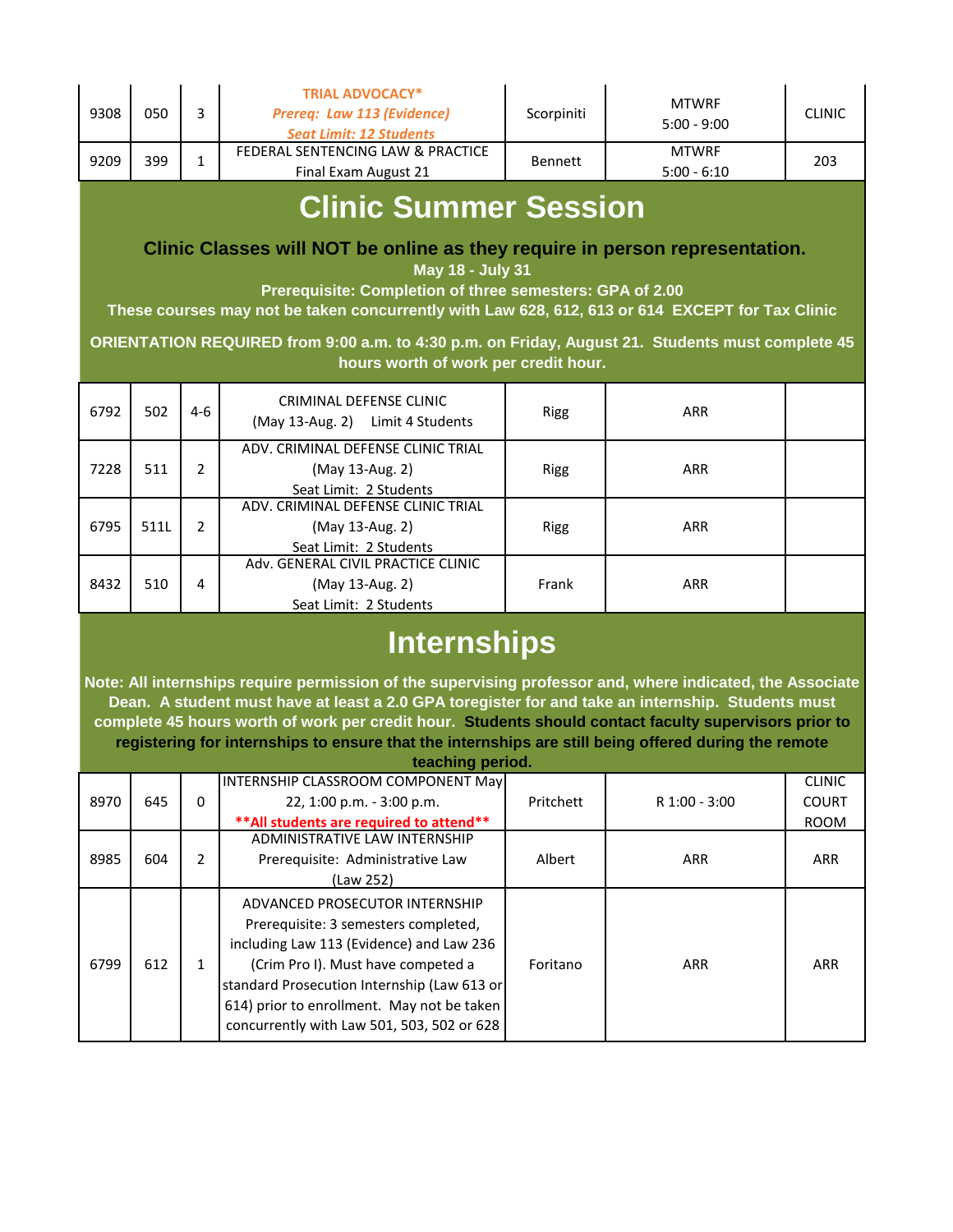|      | 050 | Prereg: Law 113 (Evidence)<br><b>Seat Limit: 12 Students</b> | Scorpiniti     | $5:00 - 9:00$                 | <b>CLINIC</b> |
|------|-----|--------------------------------------------------------------|----------------|-------------------------------|---------------|
| 9209 | 399 | FEDERAL SENTENCING LAW & PRACTICE<br>Final Exam August 21    | <b>Bennett</b> | <b>MTWRF</b><br>$5:00 - 6:10$ | 203           |

## **Clinic Summer Session**

 **Clinic Classes will NOT be online as they require in person representation.** 

**May 18 - July 31** 

**Prerequisite: Completion of three semesters: GPA of 2.00** 

**These courses may not be taken concurrently with Law 628, 612, 613 or 614 EXCEPT for Tax Clinic**

**ORIENTATION REQUIRED from 9:00 a.m. to 4:30 p.m. on Friday, August 21. Students must complete 45 hours worth of work per credit hour.**

| 6792 | 502  | 4-6 | CRIMINAL DEFENSE CLINIC<br>(May 13-Aug. 2) Limit 4 Students                     | <b>Rigg</b> | <b>ARR</b> |  |
|------|------|-----|---------------------------------------------------------------------------------|-------------|------------|--|
| 7228 | 511  | 2   | ADV. CRIMINAL DEFENSE CLINIC TRIAL<br>(May 13-Aug. 2)<br>Seat Limit: 2 Students | <b>Rigg</b> | <b>ARR</b> |  |
| 6795 | 511L |     | ADV. CRIMINAL DEFENSE CLINIC TRIAL<br>(May 13-Aug. 2)<br>Seat Limit: 2 Students | <b>Rigg</b> | <b>ARR</b> |  |
| 8432 | 510  | 4   | Adv. GENERAL CIVIL PRACTICE CLINIC<br>(May 13-Aug. 2)<br>Seat Limit: 2 Students | Frank       | <b>ARR</b> |  |

# **Internships**

**Note: All internships require permission of the supervising professor and, where indicated, the Associate Dean. A student must have at least a 2.0 GPA toregister for and take an internship. Students must complete 45 hours worth of work per credit hour. Students should contact faculty supervisors prior to registering for internships to ensure that the internships are still being offered during the remote teaching period.**

|      |     |               | <b>INTERNSHIP CLASSROOM COMPONENT May</b>                                                                                                                                                                                                                                                           |           |               | <b>CLINIC</b> |
|------|-----|---------------|-----------------------------------------------------------------------------------------------------------------------------------------------------------------------------------------------------------------------------------------------------------------------------------------------------|-----------|---------------|---------------|
| 8970 | 645 | 0             | 22, 1:00 p.m. - 3:00 p.m.                                                                                                                                                                                                                                                                           | Pritchett | R 1:00 - 3:00 | <b>COURT</b>  |
|      |     |               | ** All students are required to attend**                                                                                                                                                                                                                                                            |           |               | <b>ROOM</b>   |
| 8985 |     |               | ADMINISTRATIVE LAW INTERNSHIP                                                                                                                                                                                                                                                                       |           |               |               |
|      | 604 | $\mathcal{P}$ | Prerequisite: Administrative Law                                                                                                                                                                                                                                                                    | Albert    | <b>ARR</b>    | ARR           |
|      |     |               | (Law 252)                                                                                                                                                                                                                                                                                           |           |               |               |
| 6799 | 612 |               | ADVANCED PROSECUTOR INTERNSHIP<br>Prerequisite: 3 semesters completed,<br>including Law 113 (Evidence) and Law 236<br>(Crim Pro I). Must have competed a<br>standard Prosecution Internship (Law 613 or<br>614) prior to enrollment. May not be taken<br>concurrently with Law 501, 503, 502 or 628 | Foritano  | <b>ARR</b>    | <b>ARR</b>    |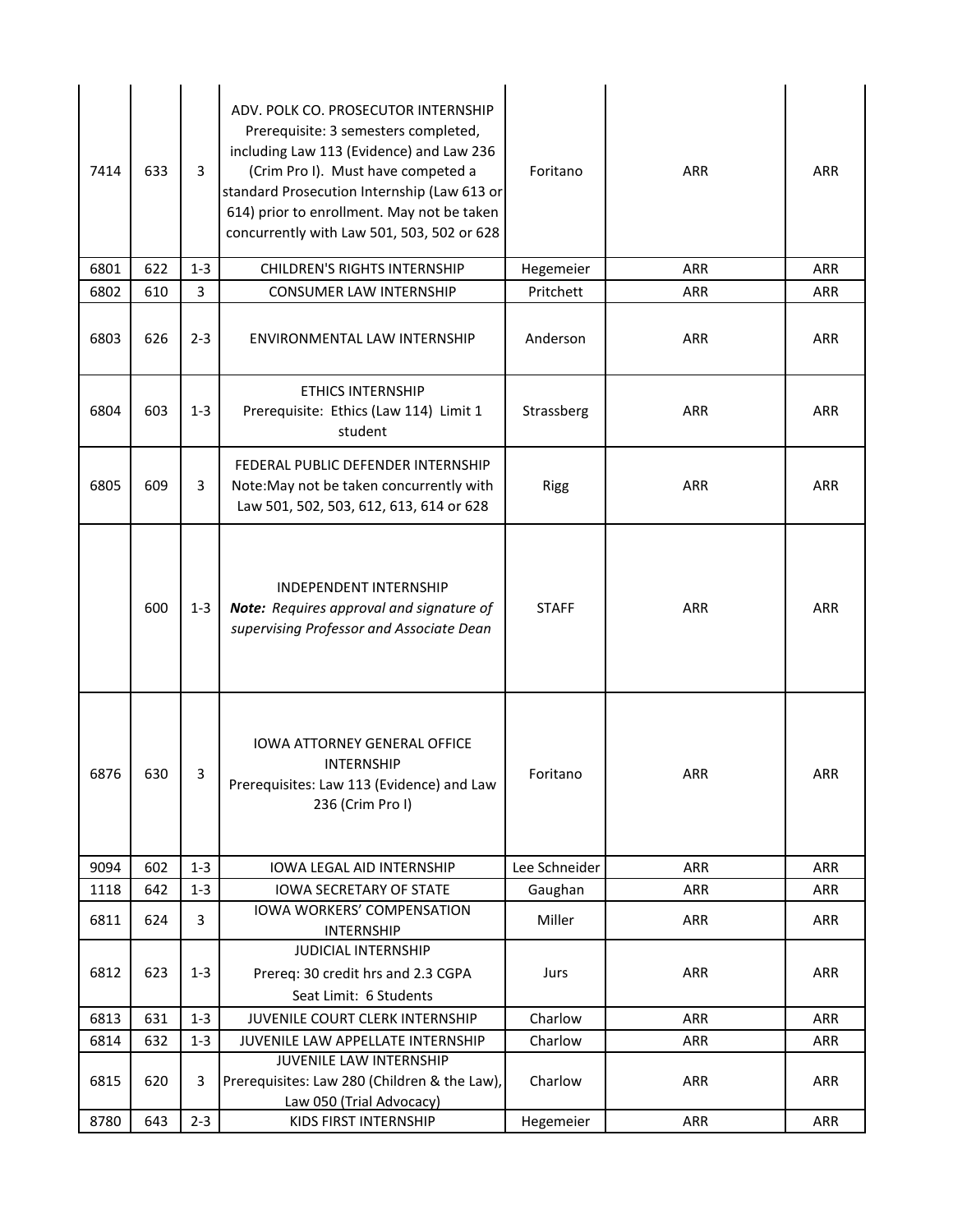| 7414 | 633 | 3       | ADV. POLK CO. PROSECUTOR INTERNSHIP<br>Prerequisite: 3 semesters completed,<br>including Law 113 (Evidence) and Law 236<br>(Crim Pro I). Must have competed a<br>standard Prosecution Internship (Law 613 or<br>614) prior to enrollment. May not be taken<br>concurrently with Law 501, 503, 502 or 628 | Foritano      | <b>ARR</b> | <b>ARR</b> |
|------|-----|---------|----------------------------------------------------------------------------------------------------------------------------------------------------------------------------------------------------------------------------------------------------------------------------------------------------------|---------------|------------|------------|
| 6801 | 622 | $1 - 3$ | <b>CHILDREN'S RIGHTS INTERNSHIP</b>                                                                                                                                                                                                                                                                      | Hegemeier     | <b>ARR</b> | <b>ARR</b> |
| 6802 | 610 | 3       | <b>CONSUMER LAW INTERNSHIP</b>                                                                                                                                                                                                                                                                           | Pritchett     | <b>ARR</b> | <b>ARR</b> |
| 6803 | 626 | $2 - 3$ | ENVIRONMENTAL LAW INTERNSHIP                                                                                                                                                                                                                                                                             | Anderson      | <b>ARR</b> | <b>ARR</b> |
| 6804 | 603 | $1 - 3$ | <b>ETHICS INTERNSHIP</b><br>Prerequisite: Ethics (Law 114) Limit 1<br>student                                                                                                                                                                                                                            | Strassberg    | <b>ARR</b> | <b>ARR</b> |
| 6805 | 609 | 3       | FEDERAL PUBLIC DEFENDER INTERNSHIP<br>Note: May not be taken concurrently with<br>Law 501, 502, 503, 612, 613, 614 or 628                                                                                                                                                                                | Rigg          | <b>ARR</b> | <b>ARR</b> |
|      | 600 | $1 - 3$ | <b>INDEPENDENT INTERNSHIP</b><br>Note: Requires approval and signature of<br>supervising Professor and Associate Dean                                                                                                                                                                                    | <b>STAFF</b>  | <b>ARR</b> | ARR        |
| 6876 | 630 | 3       | <b>IOWA ATTORNEY GENERAL OFFICE</b><br><b>INTERNSHIP</b><br>Prerequisites: Law 113 (Evidence) and Law<br>236 (Crim Pro I)                                                                                                                                                                                | Foritano      | <b>ARR</b> | ARR        |
| 9094 | 602 | $1 - 3$ | <b>IOWA LEGAL AID INTERNSHIP</b>                                                                                                                                                                                                                                                                         | Lee Schneider | ARR        | <b>ARR</b> |
| 1118 | 642 | $1 - 3$ | <b>IOWA SECRETARY OF STATE</b>                                                                                                                                                                                                                                                                           | Gaughan       | ARR        | ARR        |
| 6811 | 624 | 3       | <b>IOWA WORKERS' COMPENSATION</b><br><b>INTERNSHIP</b>                                                                                                                                                                                                                                                   | Miller        | <b>ARR</b> | <b>ARR</b> |
| 6812 | 623 | $1 - 3$ | <b>JUDICIAL INTERNSHIP</b><br>Prereq: 30 credit hrs and 2.3 CGPA<br>Seat Limit: 6 Students                                                                                                                                                                                                               | Jurs          | <b>ARR</b> | <b>ARR</b> |
| 6813 | 631 | $1 - 3$ | JUVENILE COURT CLERK INTERNSHIP                                                                                                                                                                                                                                                                          | Charlow       | <b>ARR</b> | <b>ARR</b> |
| 6814 | 632 | $1 - 3$ | JUVENILE LAW APPELLATE INTERNSHIP                                                                                                                                                                                                                                                                        | Charlow       | <b>ARR</b> | ARR        |
| 6815 | 620 | 3       | JUVENILE LAW INTERNSHIP<br>Prerequisites: Law 280 (Children & the Law),<br>Law 050 (Trial Advocacy)                                                                                                                                                                                                      | Charlow       | <b>ARR</b> | ARR        |
| 8780 | 643 | $2 - 3$ | KIDS FIRST INTERNSHIP                                                                                                                                                                                                                                                                                    | Hegemeier     | ARR        | ARR        |